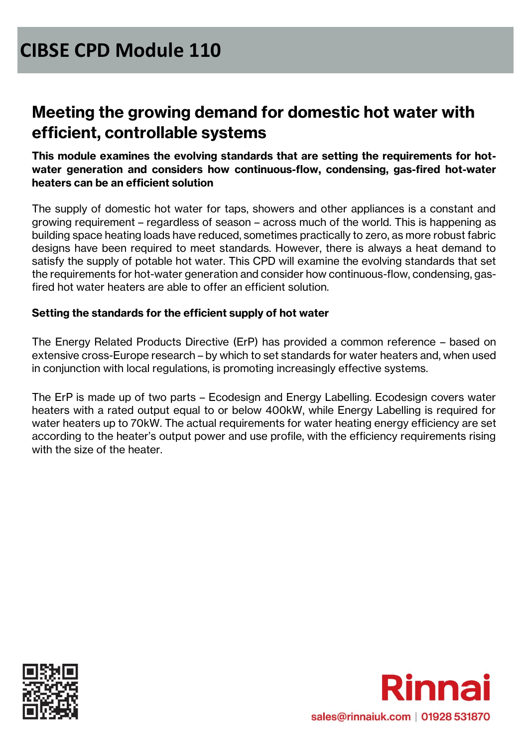### **Meeting the growing demand for domestic hot water with efficient, controllable systems**

**This module examines the evolving standards that are setting the requirements for hotwater generation and considers how continuous-flow, condensing, gas-fired hot-water heaters can be an efficient solution**

The supply of domestic hot water for taps, showers and other appliances is a constant and growing requirement – regardless of season – across much of the world. This is happening as building space heating loads have reduced, sometimes practically to zero, as more robust fabric designs have been required to meet standards. However, there is always a heat demand to satisfy the supply of potable hot water. This CPD will examine the evolving standards that set the requirements for hot-water generation and consider how continuous-flow, condensing, gasfired hot water heaters are able to offer an efficient solution.

#### **Setting the standards for the efficient supply of hot water**

The Energy Related Products Directive (ErP) has provided a common reference – based on extensive cross-Europe research – by which to set standards for water heaters and, when used in conjunction with local regulations, is promoting increasingly effective systems.

The ErP is made up of two parts – Ecodesign and Energy Labelling. Ecodesign covers water heaters with a rated output equal to or below 400kW, while Energy Labelling is required for water heaters up to 70kW. The actual requirements for water heating energy efficiency are set according to the heater's output power and use profile, with the efficiency requirements rising with the size of the heater.



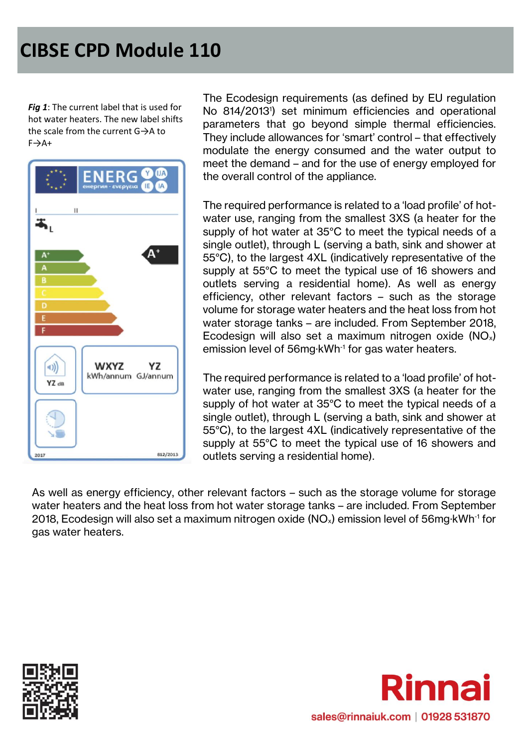*Fig 1*: The current label that is used for hot water heaters. The new label shifts the scale from the current G→A to  $F \rightarrow A +$ 



The Ecodesign requirements (as defined by EU regulation No 814/2013<sup>1</sup> ) set minimum efficiencies and operational parameters that go beyond simple thermal efficiencies. They include allowances for 'smart' control – that effectively modulate the energy consumed and the water output to meet the demand – and for the use of energy employed for the overall control of the appliance.

The required performance is related to a 'load profile' of hotwater use, ranging from the smallest 3XS (a heater for the supply of hot water at 35°C to meet the typical needs of a single outlet), through L (serving a bath, sink and shower at 55°C), to the largest 4XL (indicatively representative of the supply at 55°C to meet the typical use of 16 showers and outlets serving a residential home). As well as energy efficiency, other relevant factors – such as the storage volume for storage water heaters and the heat loss from hot water storage tanks – are included. From September 2018, Ecodesign will also set a maximum nitrogen oxide  $(NO<sub>x</sub>)$ emission level of 56mg·kWh-1 for gas water heaters.

The required performance is related to a 'load profile' of hotwater use, ranging from the smallest 3XS (a heater for the supply of hot water at 35°C to meet the typical needs of a single outlet), through L (serving a bath, sink and shower at 55°C), to the largest 4XL (indicatively representative of the supply at 55°C to meet the typical use of 16 showers and outlets serving a residential home).

As well as energy efficiency, other relevant factors – such as the storage volume for storage water heaters and the heat loss from hot water storage tanks – are included. From September 2018, Ecodesign will also set a maximum nitrogen oxide (NO<sub>x</sub>) emission level of 56mg·kWh<sup>-1</sup> for gas water heaters.



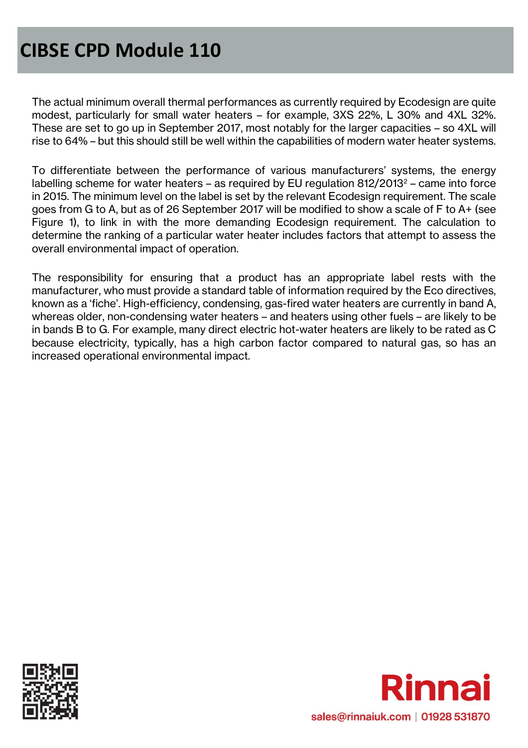The actual minimum overall thermal performances as currently required by Ecodesign are quite modest, particularly for small water heaters – for example, 3XS 22%, L 30% and 4XL 32%. These are set to go up in September 2017, most notably for the larger capacities – so 4XL will rise to 64% – but this should still be well within the capabilities of modern water heater systems.

To differentiate between the performance of various manufacturers' systems, the energy labelling scheme for water heaters – as required by EU regulation  $812/2013^2$  – came into force in 2015. The minimum level on the label is set by the relevant Ecodesign requirement. The scale goes from G to A, but as of 26 September 2017 will be modified to show a scale of F to A+ (see Figure 1), to link in with the more demanding Ecodesign requirement. The calculation to determine the ranking of a particular water heater includes factors that attempt to assess the overall environmental impact of operation.

The responsibility for ensuring that a product has an appropriate label rests with the manufacturer, who must provide a standard table of information required by the Eco directives, known as a 'fiche'. High-efficiency, condensing, gas-fired water heaters are currently in band A, whereas older, non-condensing water heaters – and heaters using other fuels – are likely to be in bands B to G. For example, many direct electric hot-water heaters are likely to be rated as C because electricity, typically, has a high carbon factor compared to natural gas, so has an increased operational environmental impact.



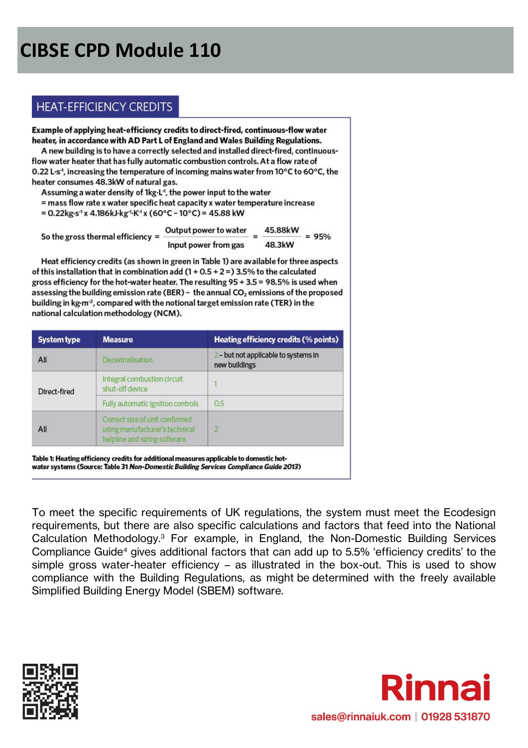### **HEAT-EFFICIENCY CREDITS**

Example of applying heat-efficiency credits to direct-fired, continuous-flow water heater, in accordance with AD Part L of England and Wales Building Regulations. A new building is to have a correctly selected and installed direct-fired, continuousflow water heater that has fully automatic combustion controls. At a flow rate of 0.22 L·s<sup>-1</sup>, increasing the temperature of incoming mains water from 10 $\rm{^{\circ}C}$  to 60 $\rm{^{\circ}C}$ , the heater consumes 48.3kW of natural gas.

Assuming a water density of 1kg.L<sup>1</sup>, the power input to the water

= mass flow rate x water specific heat capacity x water temperature increase

= 0.22kg·s<sup>-1</sup> x 4.186kJ·kg<sup>-1</sup>·K<sup>-1</sup> x (60°C - 10°C) = 45.88 kW

| So the gross thermal efficiency $=$ | Output power to water |  | 45.88kW | $= 95%$ |
|-------------------------------------|-----------------------|--|---------|---------|
|                                     | Input power from gas  |  | 48.3kW  |         |

Heat efficiency credits (as shown in green in Table 1) are available for three aspects of this installation that in combination add  $(1 + 0.5 + 2 =)$  3.5% to the calculated gross efficiency for the hot-water heater. The resulting  $95 + 3.5 = 98.5\%$  is used when assessing the building emission rate (BER) - the annual CO<sub>2</sub> emissions of the proposed building in kg·m<sup>-2</sup>, compared with the notional target emission rate (TER) in the national calculation methodology (NCM).

| <b>System type</b> | <b>Measure</b>                                                                                   | Heating efficiency credits (% points)                 |
|--------------------|--------------------------------------------------------------------------------------------------|-------------------------------------------------------|
| All                | Decentralisation                                                                                 | 2 - but not applicable to systems in<br>new buildings |
| Direct-fired       | Integral combustion circuit<br>shut-off device                                                   |                                                       |
|                    | Fully automatic ignition controls                                                                | 0.5                                                   |
| All                | Correct size of unit confirmed<br>using manufacturer's technical<br>helpline and sizing software | $\overline{2}$                                        |

Table 1: Heating efficiency credits for additional measures applicable to domestic hotwater systems (Source: Table 31 Non-Domestic Building Services Compliance Guide 2013)

To meet the specific requirements of UK regulations, the system must meet the Ecodesign requirements, but there are also specific calculations and factors that feed into the National Calculation Methodology.<sup>3</sup> For example, in England, the Non-Domestic Building Services Compliance Guide<sup>4</sup> gives additional factors that can add up to 5.5% 'efficiency credits' to the simple gross water-heater efficiency – as illustrated in the box-out. This is used to show compliance with the Building Regulations, as might be determined with the freely available Simplified Building Energy Model (SBEM) software.



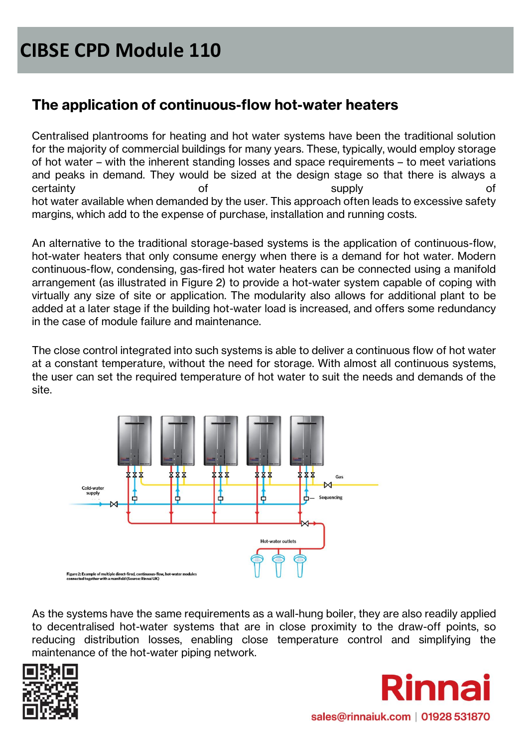### **The application of continuous-flow hot-water heaters**

Centralised plantrooms for heating and hot water systems have been the traditional solution for the majority of commercial buildings for many years. These, typically, would employ storage of hot water – with the inherent standing losses and space requirements – to meet variations and peaks in demand. They would be sized at the design stage so that there is always a certainty of supply of hot water available when demanded by the user. This approach often leads to excessive safety margins, which add to the expense of purchase, installation and running costs.

An alternative to the traditional storage-based systems is the application of continuous-flow, hot-water heaters that only consume energy when there is a demand for hot water. Modern continuous-flow, condensing, gas-fired hot water heaters can be connected using a manifold arrangement (as illustrated in Figure 2) to provide a hot-water system capable of coping with virtually any size of site or application. The modularity also allows for additional plant to be added at a later stage if the building hot-water load is increased, and offers some redundancy in the case of module failure and maintenance.

The close control integrated into such systems is able to deliver a continuous flow of hot water at a constant temperature, without the need for storage. With almost all continuous systems, the user can set the required temperature of hot water to suit the needs and demands of the site.



As the systems have the same requirements as a wall-hung boiler, they are also readily applied to decentralised hot-water systems that are in close proximity to the draw-off points, so reducing distribution losses, enabling close temperature control and simplifying the maintenance of the hot-water piping network.



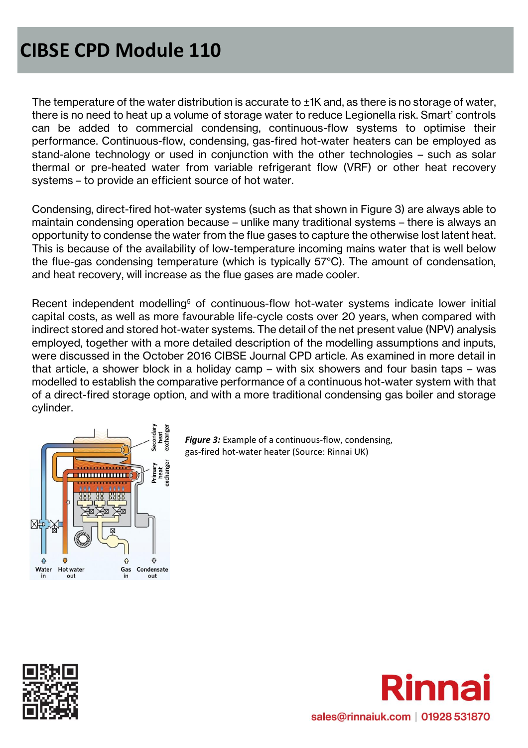The temperature of the water distribution is accurate to  $\pm$ 1K and, as there is no storage of water, there is no need to heat up a volume of storage water to reduce Legionella risk. Smart' controls can be added to commercial condensing, continuous-flow systems to optimise their performance. Continuous-flow, condensing, gas-fired hot-water heaters can be employed as stand-alone technology or used in conjunction with the other technologies – such as solar thermal or pre-heated water from variable refrigerant flow (VRF) or other heat recovery systems – to provide an efficient source of hot water.

Condensing, direct-fired hot-water systems (such as that shown in Figure 3) are always able to maintain condensing operation because – unlike many traditional systems – there is always an opportunity to condense the water from the flue gases to capture the otherwise lost latent heat. This is because of the availability of low-temperature incoming mains water that is well below the flue-gas condensing temperature (which is typically 57°C). The amount of condensation, and heat recovery, will increase as the flue gases are made cooler.

Recent independent modelling<sup>5</sup> of continuous-flow hot-water systems indicate lower initial capital costs, as well as more favourable life-cycle costs over 20 years, when compared with indirect stored and stored hot-water systems. The detail of the net present value (NPV) analysis employed, together with a more detailed description of the modelling assumptions and inputs, were discussed in the October 2016 CIBSE Journal CPD article. As examined in more detail in that article, a shower block in a holiday camp – with six showers and four basin taps – was modelled to establish the comparative performance of a continuous hot-water system with that of a direct-fired storage option, and with a more traditional condensing gas boiler and storage cylinder.



*Figure 3:* Example of a continuous-flow, condensing, gas-fired hot-water heater (Source: Rinnai UK)